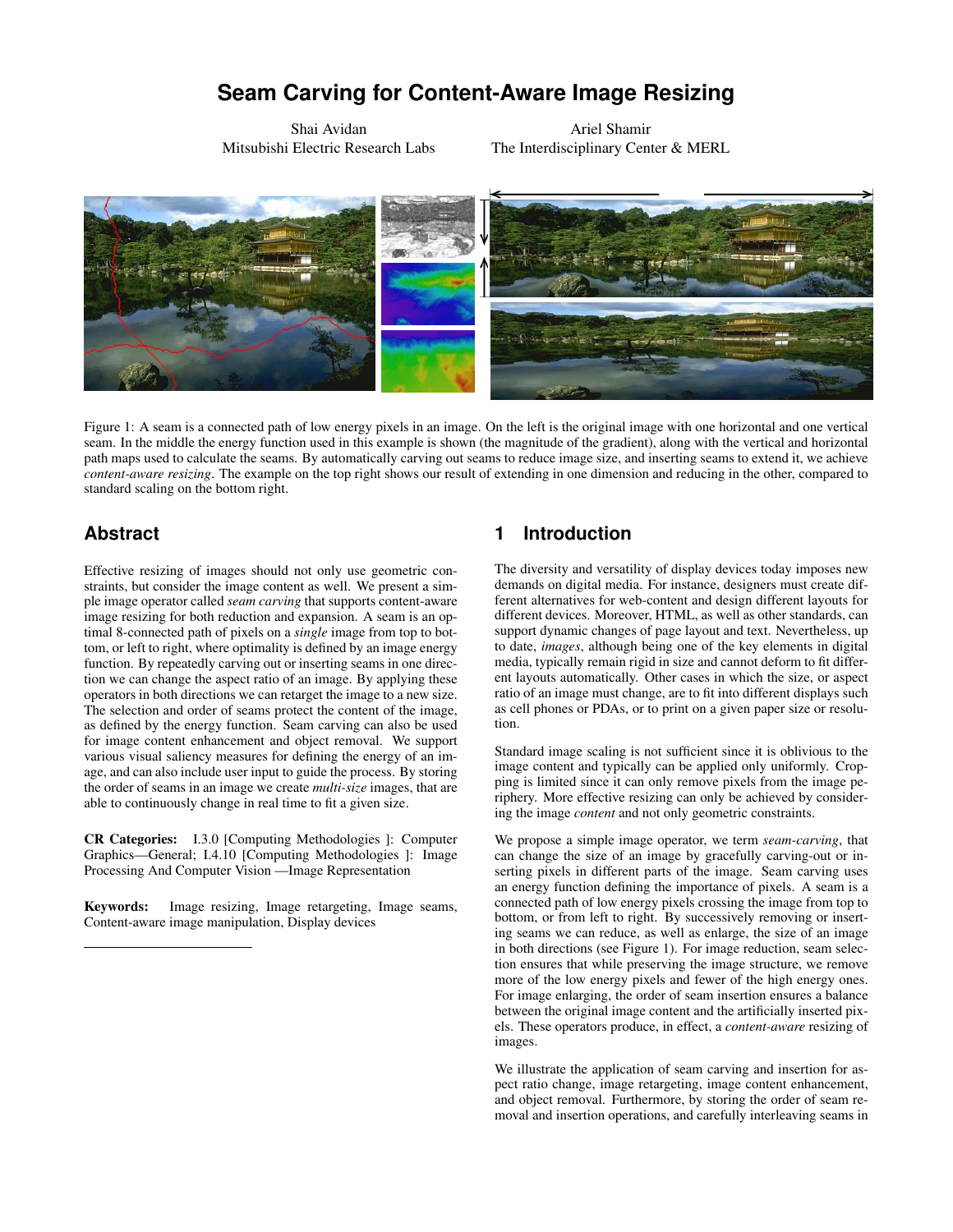# **Seam Carving for Content-Aware Image Resizing**

Shai Avidan Mitsubishi Electric Research Labs

Ariel Shamir The Interdisciplinary Center & MERL



Figure 1: A seam is a connected path of low energy pixels in an image. On the left is the original image with one horizontal and one vertical seam. In the middle the energy function used in this example is shown (the magnitude of the gradient), along with the vertical and horizontal path maps used to calculate the seams. By automatically carving out seams to reduce image size, and inserting seams to extend it, we achieve *content-aware resizing*. The example on the top right shows our result of extending in one dimension and reducing in the other, compared to standard scaling on the bottom right.

## **Abstract**

Effective resizing of images should not only use geometric constraints, but consider the image content as well. We present a simple image operator called *seam carving* that supports content-aware image resizing for both reduction and expansion. A seam is an optimal 8-connected path of pixels on a *single* image from top to bottom, or left to right, where optimality is defined by an image energy function. By repeatedly carving out or inserting seams in one direction we can change the aspect ratio of an image. By applying these operators in both directions we can retarget the image to a new size. The selection and order of seams protect the content of the image, as defined by the energy function. Seam carving can also be used for image content enhancement and object removal. We support various visual saliency measures for defining the energy of an image, and can also include user input to guide the process. By storing the order of seams in an image we create *multi-size* images, that are able to continuously change in real time to fit a given size.

CR Categories: I.3.0 [Computing Methodologies ]: Computer Graphics—General; I.4.10 [Computing Methodologies ]: Image Processing And Computer Vision —Image Representation

Keywords: Image resizing, Image retargeting, Image seams, Content-aware image manipulation, Display devices

## **1 Introduction**

The diversity and versatility of display devices today imposes new demands on digital media. For instance, designers must create different alternatives for web-content and design different layouts for different devices. Moreover, HTML, as well as other standards, can support dynamic changes of page layout and text. Nevertheless, up to date, *images*, although being one of the key elements in digital media, typically remain rigid in size and cannot deform to fit different layouts automatically. Other cases in which the size, or aspect ratio of an image must change, are to fit into different displays such as cell phones or PDAs, or to print on a given paper size or resolution.

Standard image scaling is not sufficient since it is oblivious to the image content and typically can be applied only uniformly. Cropping is limited since it can only remove pixels from the image periphery. More effective resizing can only be achieved by considering the image *content* and not only geometric constraints.

We propose a simple image operator, we term *seam-carving*, that can change the size of an image by gracefully carving-out or inserting pixels in different parts of the image. Seam carving uses an energy function defining the importance of pixels. A seam is a connected path of low energy pixels crossing the image from top to bottom, or from left to right. By successively removing or inserting seams we can reduce, as well as enlarge, the size of an image in both directions (see Figure 1). For image reduction, seam selection ensures that while preserving the image structure, we remove more of the low energy pixels and fewer of the high energy ones. For image enlarging, the order of seam insertion ensures a balance between the original image content and the artificially inserted pixels. These operators produce, in effect, a *content-aware* resizing of images.

We illustrate the application of seam carving and insertion for aspect ratio change, image retargeting, image content enhancement, and object removal. Furthermore, by storing the order of seam removal and insertion operations, and carefully interleaving seams in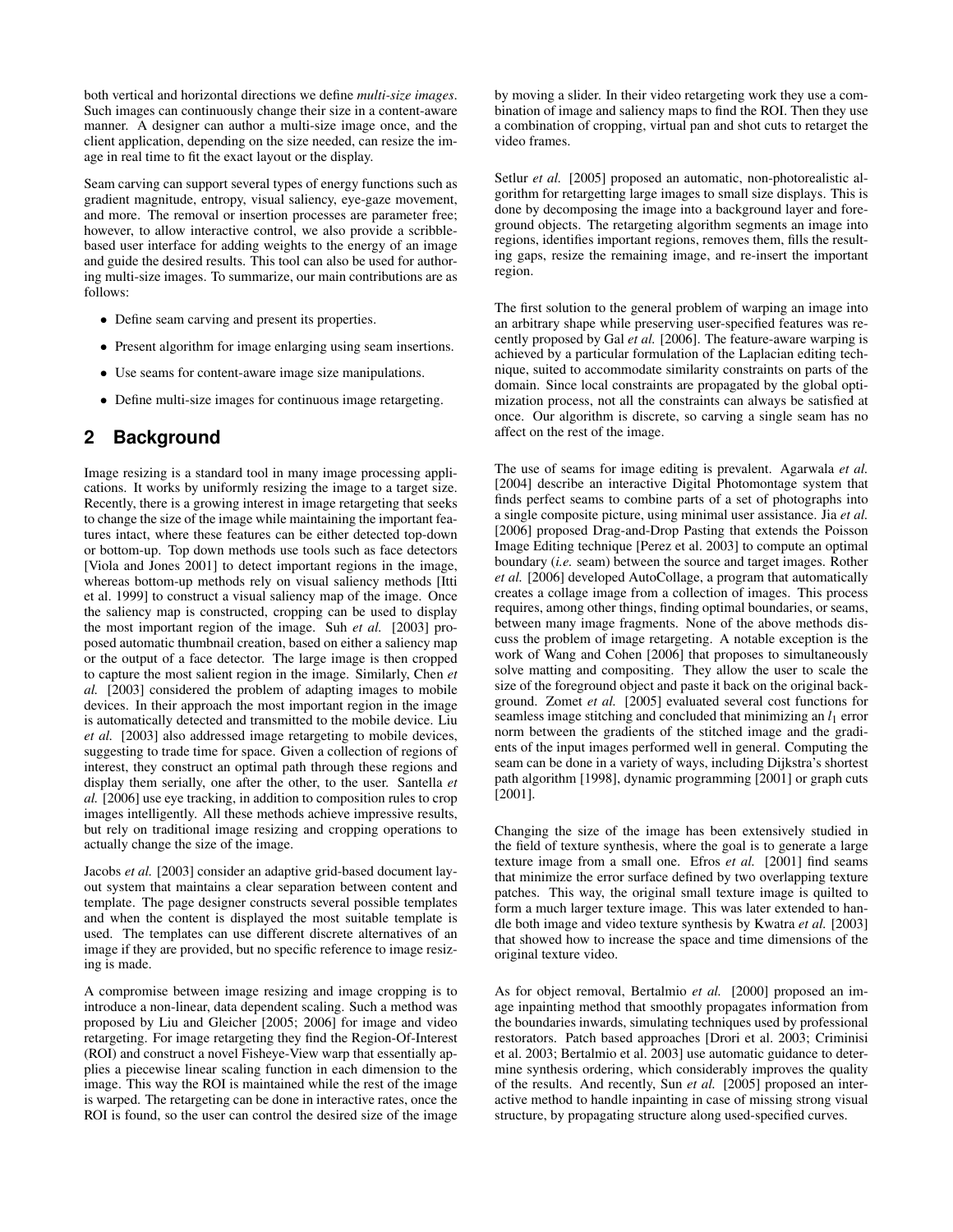both vertical and horizontal directions we define *multi-size images*. Such images can continuously change their size in a content-aware manner. A designer can author a multi-size image once, and the client application, depending on the size needed, can resize the image in real time to fit the exact layout or the display.

Seam carving can support several types of energy functions such as gradient magnitude, entropy, visual saliency, eye-gaze movement, and more. The removal or insertion processes are parameter free; however, to allow interactive control, we also provide a scribblebased user interface for adding weights to the energy of an image and guide the desired results. This tool can also be used for authoring multi-size images. To summarize, our main contributions are as follows:

- Define seam carving and present its properties.
- Present algorithm for image enlarging using seam insertions.
- Use seams for content-aware image size manipulations.
- Define multi-size images for continuous image retargeting.

### **2 Background**

Image resizing is a standard tool in many image processing applications. It works by uniformly resizing the image to a target size. Recently, there is a growing interest in image retargeting that seeks to change the size of the image while maintaining the important features intact, where these features can be either detected top-down or bottom-up. Top down methods use tools such as face detectors [Viola and Jones 2001] to detect important regions in the image, whereas bottom-up methods rely on visual saliency methods [Itti et al. 1999] to construct a visual saliency map of the image. Once the saliency map is constructed, cropping can be used to display the most important region of the image. Suh *et al.* [2003] proposed automatic thumbnail creation, based on either a saliency map or the output of a face detector. The large image is then cropped to capture the most salient region in the image. Similarly, Chen *et al.* [2003] considered the problem of adapting images to mobile devices. In their approach the most important region in the image is automatically detected and transmitted to the mobile device. Liu *et al.* [2003] also addressed image retargeting to mobile devices, suggesting to trade time for space. Given a collection of regions of interest, they construct an optimal path through these regions and display them serially, one after the other, to the user. Santella *et al.* [2006] use eye tracking, in addition to composition rules to crop images intelligently. All these methods achieve impressive results, but rely on traditional image resizing and cropping operations to actually change the size of the image.

Jacobs *et al.* [2003] consider an adaptive grid-based document layout system that maintains a clear separation between content and template. The page designer constructs several possible templates and when the content is displayed the most suitable template is used. The templates can use different discrete alternatives of an image if they are provided, but no specific reference to image resizing is made.

A compromise between image resizing and image cropping is to introduce a non-linear, data dependent scaling. Such a method was proposed by Liu and Gleicher [2005; 2006] for image and video retargeting. For image retargeting they find the Region-Of-Interest (ROI) and construct a novel Fisheye-View warp that essentially applies a piecewise linear scaling function in each dimension to the image. This way the ROI is maintained while the rest of the image is warped. The retargeting can be done in interactive rates, once the ROI is found, so the user can control the desired size of the image by moving a slider. In their video retargeting work they use a combination of image and saliency maps to find the ROI. Then they use a combination of cropping, virtual pan and shot cuts to retarget the video frames.

Setlur *et al.* [2005] proposed an automatic, non-photorealistic algorithm for retargetting large images to small size displays. This is done by decomposing the image into a background layer and foreground objects. The retargeting algorithm segments an image into regions, identifies important regions, removes them, fills the resulting gaps, resize the remaining image, and re-insert the important region.

The first solution to the general problem of warping an image into an arbitrary shape while preserving user-specified features was recently proposed by Gal *et al.* [2006]. The feature-aware warping is achieved by a particular formulation of the Laplacian editing technique, suited to accommodate similarity constraints on parts of the domain. Since local constraints are propagated by the global optimization process, not all the constraints can always be satisfied at once. Our algorithm is discrete, so carving a single seam has no affect on the rest of the image.

The use of seams for image editing is prevalent. Agarwala *et al.* [2004] describe an interactive Digital Photomontage system that finds perfect seams to combine parts of a set of photographs into a single composite picture, using minimal user assistance. Jia *et al.* [2006] proposed Drag-and-Drop Pasting that extends the Poisson Image Editing technique [Perez et al. 2003] to compute an optimal boundary (*i.e.* seam) between the source and target images. Rother *et al.* [2006] developed AutoCollage, a program that automatically creates a collage image from a collection of images. This process requires, among other things, finding optimal boundaries, or seams, between many image fragments. None of the above methods discuss the problem of image retargeting. A notable exception is the work of Wang and Cohen [2006] that proposes to simultaneously solve matting and compositing. They allow the user to scale the size of the foreground object and paste it back on the original background. Zomet *et al.* [2005] evaluated several cost functions for seamless image stitching and concluded that minimizing an *l*<sup>1</sup> error norm between the gradients of the stitched image and the gradients of the input images performed well in general. Computing the seam can be done in a variety of ways, including Dijkstra's shortest path algorithm [1998], dynamic programming [2001] or graph cuts [2001].

Changing the size of the image has been extensively studied in the field of texture synthesis, where the goal is to generate a large texture image from a small one. Efros *et al.* [2001] find seams that minimize the error surface defined by two overlapping texture patches. This way, the original small texture image is quilted to form a much larger texture image. This was later extended to handle both image and video texture synthesis by Kwatra *et al.* [2003] that showed how to increase the space and time dimensions of the original texture video.

As for object removal, Bertalmio *et al.* [2000] proposed an image inpainting method that smoothly propagates information from the boundaries inwards, simulating techniques used by professional restorators. Patch based approaches [Drori et al. 2003; Criminisi et al. 2003; Bertalmio et al. 2003] use automatic guidance to determine synthesis ordering, which considerably improves the quality of the results. And recently, Sun *et al.* [2005] proposed an interactive method to handle inpainting in case of missing strong visual structure, by propagating structure along used-specified curves.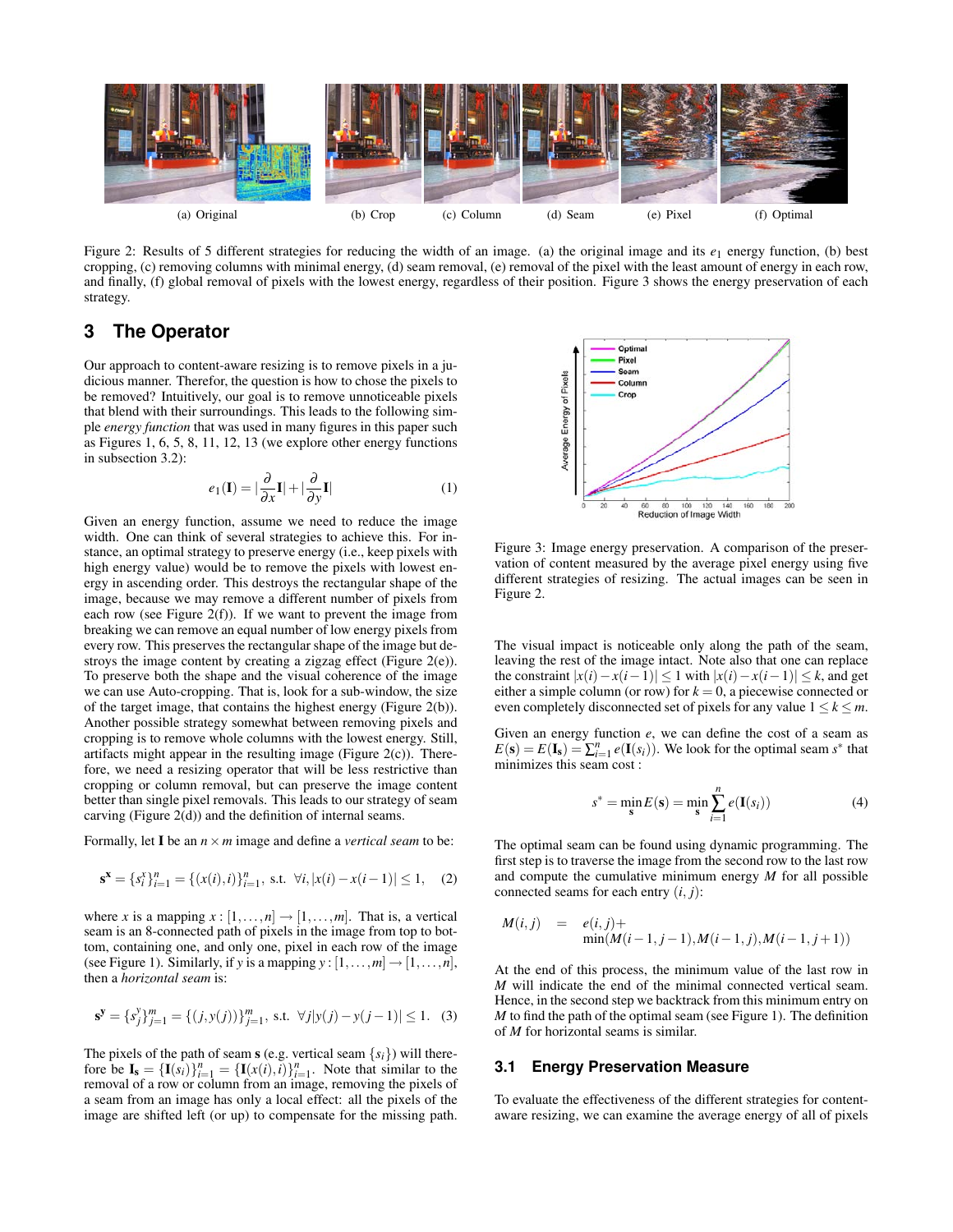

Figure 2: Results of 5 different strategies for reducing the width of an image. (a) the original image and its *e*<sup>1</sup> energy function, (b) best cropping, (c) removing columns with minimal energy, (d) seam removal, (e) removal of the pixel with the least amount of energy in each row, and finally, (f) global removal of pixels with the lowest energy, regardless of their position. Figure 3 shows the energy preservation of each strategy.

### **3 The Operator**

Our approach to content-aware resizing is to remove pixels in a judicious manner. Therefor, the question is how to chose the pixels to be removed? Intuitively, our goal is to remove unnoticeable pixels that blend with their surroundings. This leads to the following simple *energy function* that was used in many figures in this paper such as Figures 1, 6, 5, 8, 11, 12, 13 (we explore other energy functions in subsection 3.2):

$$
e_1(\mathbf{I}) = |\frac{\partial}{\partial x}\mathbf{I}| + |\frac{\partial}{\partial y}\mathbf{I}|
$$
 (1)

Given an energy function, assume we need to reduce the image width. One can think of several strategies to achieve this. For instance, an optimal strategy to preserve energy (i.e., keep pixels with high energy value) would be to remove the pixels with lowest energy in ascending order. This destroys the rectangular shape of the image, because we may remove a different number of pixels from each row (see Figure  $2(f)$ ). If we want to prevent the image from breaking we can remove an equal number of low energy pixels from every row. This preserves the rectangular shape of the image but destroys the image content by creating a zigzag effect (Figure 2(e)). To preserve both the shape and the visual coherence of the image we can use Auto-cropping. That is, look for a sub-window, the size of the target image, that contains the highest energy (Figure 2(b)). Another possible strategy somewhat between removing pixels and cropping is to remove whole columns with the lowest energy. Still, artifacts might appear in the resulting image (Figure  $2(c)$ ). Therefore, we need a resizing operator that will be less restrictive than cropping or column removal, but can preserve the image content better than single pixel removals. This leads to our strategy of seam carving (Figure 2(d)) and the definition of internal seams.

Formally, let **I** be an  $n \times m$  image and define a *vertical seam* to be:

$$
\mathbf{s}^{\mathbf{x}} = \{s_i^x\}_{i=1}^n = \{(x(i), i)\}_{i=1}^n, \text{ s.t. } \forall i, |x(i) - x(i-1)| \le 1, \quad (2)
$$

where *x* is a mapping  $x : [1, \ldots, n] \rightarrow [1, \ldots, m]$ . That is, a vertical seam is an 8-connected path of pixels in the image from top to bottom, containing one, and only one, pixel in each row of the image (see Figure 1). Similarly, if *y* is a mapping  $y : [1, \ldots, m] \rightarrow [1, \ldots, n]$ , then a *horizontal seam* is:

$$
\mathbf{s}^{\mathbf{y}} = \{s_j^y\}_{j=1}^m = \{(j, y(j))\}_{j=1}^m, \text{ s.t. } \forall j |y(j) - y(j-1)| \le 1. \tag{3}
$$

The pixels of the path of seam  $s$  (e.g. vertical seam  $\{s_i\}$ ) will therefore be  $I_s = {\mathbf{I}(s_i)}_{i=1}^n = {\mathbf{I}(x(i), i)}_{i=1}^n$ . Note that similar to the removal of a row or column from an image, removing the pixels of a seam from an image has only a local effect: all the pixels of the image are shifted left (or up) to compensate for the missing path.



Figure 3: Image energy preservation. A comparison of the preservation of content measured by the average pixel energy using five different strategies of resizing. The actual images can be seen in Figure 2.

The visual impact is noticeable only along the path of the seam, leaving the rest of the image intact. Note also that one can replace the constraint  $|x(i) - x(i-1)| \le 1$  with  $|x(i) - x(i-1)| \le k$ , and get either a simple column (or row) for  $k = 0$ , a piecewise connected or even completely disconnected set of pixels for any value  $1 \leq k \leq m$ .

Given an energy function *e*, we can define the cost of a seam as  $E(\mathbf{s}) = E(\mathbf{I}_s) = \sum_{i=1}^n e(\mathbf{I}(s_i))$ . We look for the optimal seam *s*<sup>\*</sup> that minimizes this seam cost :

$$
s^* = \min_{\mathbf{s}} E(\mathbf{s}) = \min_{\mathbf{s}} \sum_{i=1}^n e(\mathbf{I}(s_i))
$$
(4)

The optimal seam can be found using dynamic programming. The first step is to traverse the image from the second row to the last row and compute the cumulative minimum energy *M* for all possible connected seams for each entry (*i*, *j*):

$$
M(i, j) = e(i, j) + \min(M(i-1, j-1), M(i-1, j), M(i-1, j+1))
$$

At the end of this process, the minimum value of the last row in *M* will indicate the end of the minimal connected vertical seam. Hence, in the second step we backtrack from this minimum entry on *M* to find the path of the optimal seam (see Figure 1). The definition of *M* for horizontal seams is similar.

#### **3.1 Energy Preservation Measure**

To evaluate the effectiveness of the different strategies for contentaware resizing, we can examine the average energy of all of pixels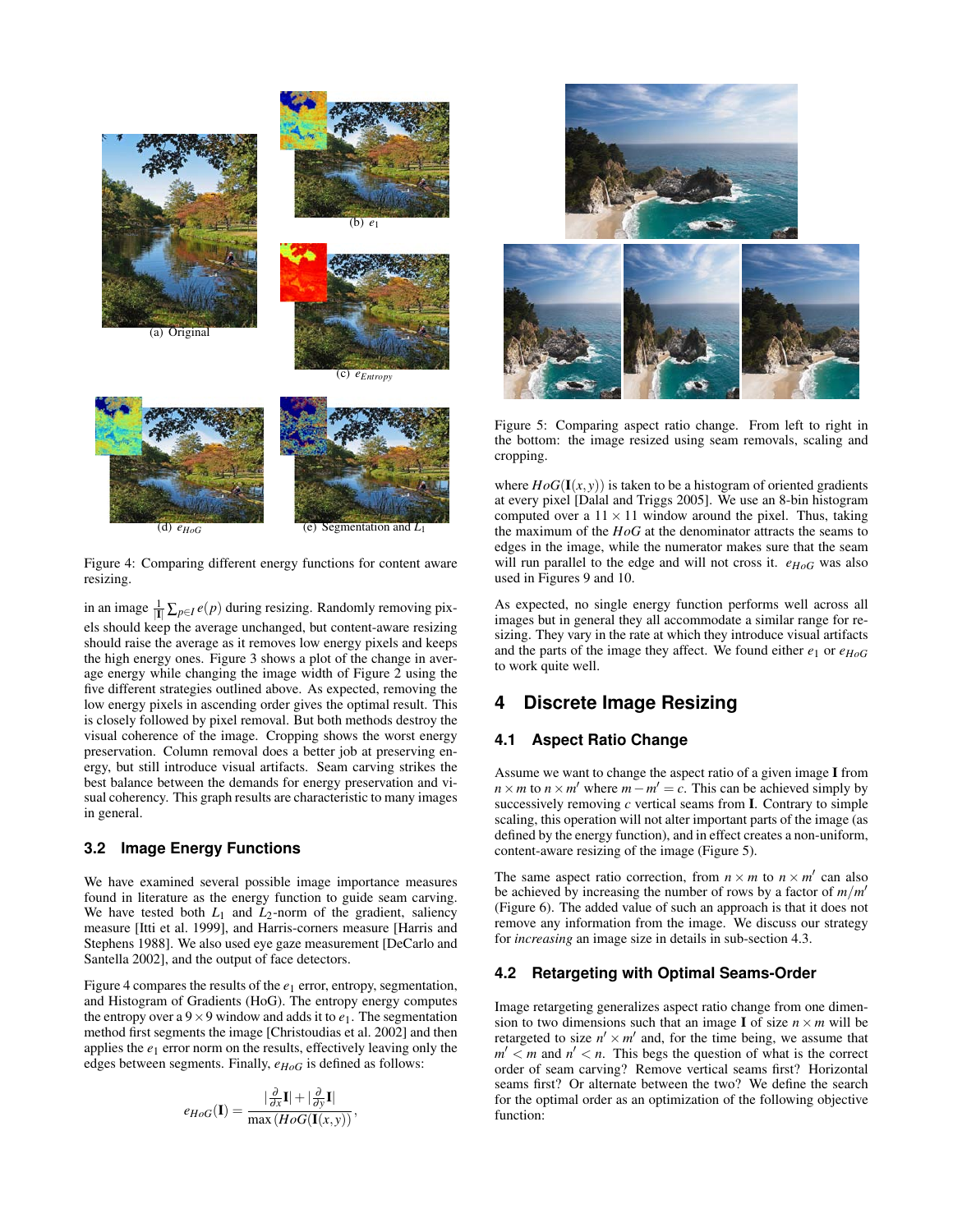



(d) *eHoG* (e) Segmentation and *L*<sup>1</sup>

Figure 4: Comparing different energy functions for content aware resizing.

in an image  $\frac{1}{|I|} \sum_{p \in I} e(p)$  during resizing. Randomly removing pixels should keep the average unchanged, but content-aware resizing should raise the average as it removes low energy pixels and keeps the high energy ones. Figure 3 shows a plot of the change in average energy while changing the image width of Figure 2 using the five different strategies outlined above. As expected, removing the low energy pixels in ascending order gives the optimal result. This is closely followed by pixel removal. But both methods destroy the visual coherence of the image. Cropping shows the worst energy preservation. Column removal does a better job at preserving energy, but still introduce visual artifacts. Seam carving strikes the best balance between the demands for energy preservation and visual coherency. This graph results are characteristic to many images in general.

### **3.2 Image Energy Functions**

We have examined several possible image importance measures found in literature as the energy function to guide seam carving. We have tested both  $L_1$  and  $L_2$ -norm of the gradient, saliency measure [Itti et al. 1999], and Harris-corners measure [Harris and Stephens 1988]. We also used eye gaze measurement [DeCarlo and Santella 2002], and the output of face detectors.

Figure 4 compares the results of the  $e_1$  error, entropy, segmentation, and Histogram of Gradients (HoG). The entropy energy computes the entropy over a  $9 \times 9$  window and adds it to  $e_1$ . The segmentation method first segments the image [Christoudias et al. 2002] and then applies the  $e_1$  error norm on the results, effectively leaving only the edges between segments. Finally, *eHoG* is defined as follows:

$$
e_{HoG}(\mathbf{I}) = \frac{|\frac{\partial}{\partial x}\mathbf{I}| + |\frac{\partial}{\partial y}\mathbf{I}|}{\max (HoG(\mathbf{I}(x,y))},
$$



Figure 5: Comparing aspect ratio change. From left to right in the bottom: the image resized using seam removals, scaling and cropping.

where  $HoG(I(x, y))$  is taken to be a histogram of oriented gradients at every pixel [Dalal and Triggs 2005]. We use an 8-bin histogram computed over a  $11 \times 11$  window around the pixel. Thus, taking the maximum of the *HoG* at the denominator attracts the seams to edges in the image, while the numerator makes sure that the seam will run parallel to the edge and will not cross it. *eHoG* was also used in Figures 9 and 10.

As expected, no single energy function performs well across all images but in general they all accommodate a similar range for resizing. They vary in the rate at which they introduce visual artifacts and the parts of the image they affect. We found either  $e_1$  or  $e_{HoG}$ to work quite well.

## **4 Discrete Image Resizing**

### **4.1 Aspect Ratio Change**

Assume we want to change the aspect ratio of a given image I from  $n \times m$  to  $n \times m'$  where  $m - m' = c$ . This can be achieved simply by successively removing *c* vertical seams from I. Contrary to simple scaling, this operation will not alter important parts of the image (as defined by the energy function), and in effect creates a non-uniform, content-aware resizing of the image (Figure 5).

The same aspect ratio correction, from  $n \times m$  to  $n \times m'$  can also be achieved by increasing the number of rows by a factor of  $m/m'$ (Figure 6). The added value of such an approach is that it does not remove any information from the image. We discuss our strategy for *increasing* an image size in details in sub-section 4.3.

### **4.2 Retargeting with Optimal Seams-Order**

Image retargeting generalizes aspect ratio change from one dimension to two dimensions such that an image **I** of size  $n \times m$  will be retargeted to size  $n' \times m'$  and, for the time being, we assume that  $m' < m$  and  $n' < n$ . This begs the question of what is the correct order of seam carving? Remove vertical seams first? Horizontal seams first? Or alternate between the two? We define the search for the optimal order as an optimization of the following objective function: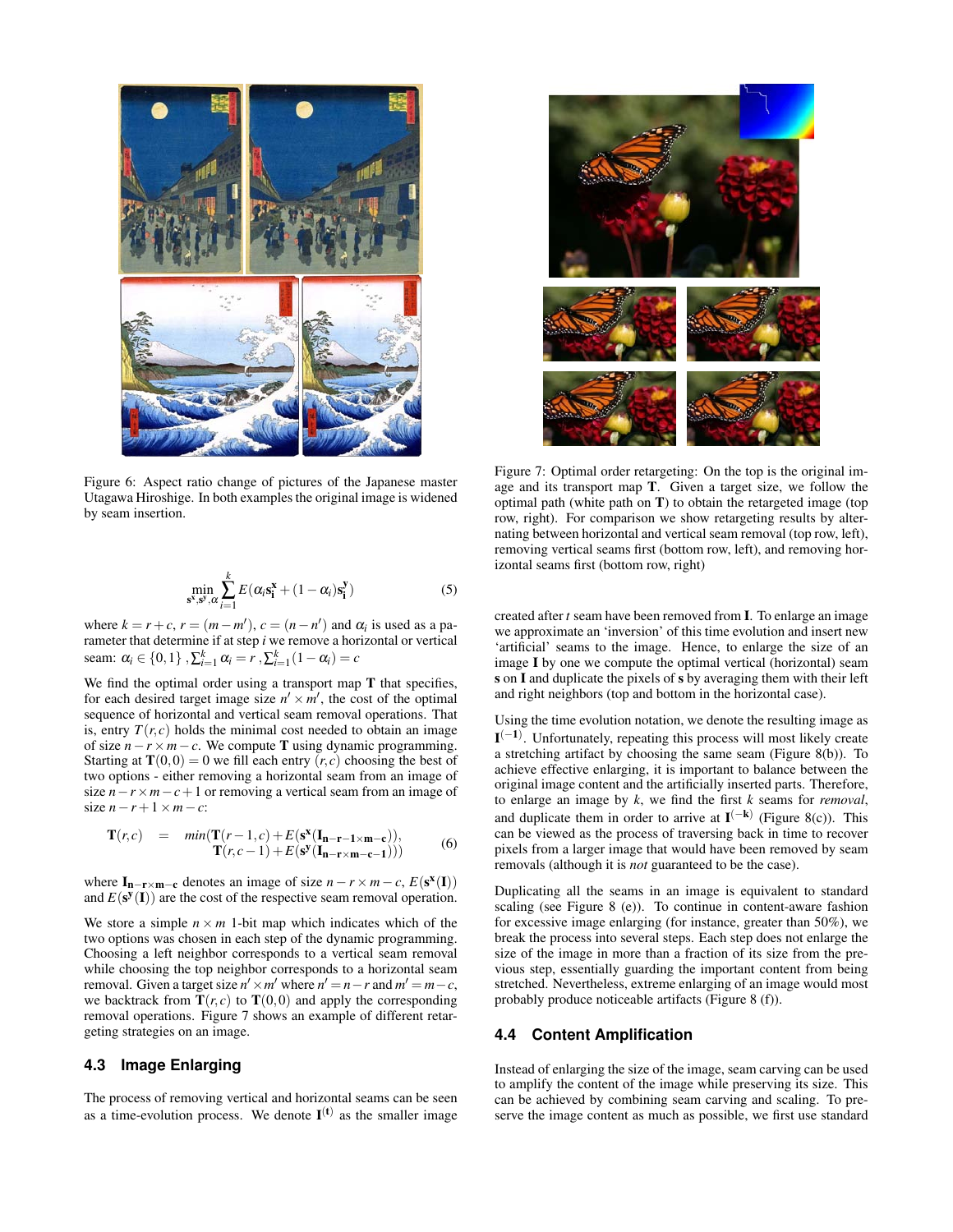

Figure 6: Aspect ratio change of pictures of the Japanese master Utagawa Hiroshige. In both examples the original image is widened by seam insertion.

$$
\frac{1}{\sqrt{2}}
$$

Figure 7: Optimal order retargeting: On the top is the original image and its transport map T. Given a target size, we follow the optimal path (white path on T) to obtain the retargeted image (top row, right). For comparison we show retargeting results by alternating between horizontal and vertical seam removal (top row, left), removing vertical seams first (bottom row, left), and removing horizontal seams first (bottom row, right)

$$
\min_{\mathbf{s}^{\mathbf{x}},\mathbf{s}^{\mathbf{y}},\alpha} \sum_{i=1}^{k} E(\alpha_i \mathbf{s}_i^{\mathbf{x}} + (1-\alpha_i) \mathbf{s}_i^{\mathbf{y}})
$$
 (5)

where  $k = r + c$ ,  $r = (m - m')$ ,  $c = (n - n')$  and  $\alpha_i$  is used as a parameter that determine if at step *i* we remove a horizontal or vertical seam:  $\alpha_i \in \{0, 1\}$ ,  $\sum_{i=1}^k \alpha_i = r$ ,  $\sum_{i=1}^k (1 - \alpha_i) = c$ 

We find the optimal order using a transport map T that specifies, for each desired target image size  $n' \times m'$ , the cost of the optimal sequence of horizontal and vertical seam removal operations. That is, entry  $T(r, c)$  holds the minimal cost needed to obtain an image of size  $n - r \times m - c$ . We compute **T** using dynamic programming. Starting at  $\mathbf{T}(0,0) = 0$  we fill each entry  $(r, c)$  choosing the best of two options - either removing a horizontal seam from an image of size  $n - r \times m - c + 1$  or removing a vertical seam from an image of size  $n - r + 1 \times m - c$ :

$$
\mathbf{T}(r,c) = min(\mathbf{T}(r-1,c) + E(\mathbf{s}^{\mathbf{x}}(\mathbf{I}_{\mathbf{n-r-1}\times\mathbf{m-c}})),
$$
  
\n
$$
\mathbf{T}(r,c-1) + E(\mathbf{s}^{\mathbf{y}}(\mathbf{I}_{\mathbf{n-r}\times\mathbf{m-c-1}})))
$$
\n(6)

where  $\mathbf{I}_{n-r \times m-c}$  denotes an image of size  $n-r \times m-c$ ,  $E(s^x(\mathbf{I}))$ and  $E(s^{y}(I))$  are the cost of the respective seam removal operation.

We store a simple  $n \times m$  1-bit map which indicates which of the two options was chosen in each step of the dynamic programming. Choosing a left neighbor corresponds to a vertical seam removal while choosing the top neighbor corresponds to a horizontal seam removal. Given a target size  $n' \times m'$  where  $n' = n - r$  and  $m' = m - c$ , we backtrack from  $\mathbf{T}(r, c)$  to  $\mathbf{T}(0, 0)$  and apply the corresponding removal operations. Figure 7 shows an example of different retargeting strategies on an image.

#### **4.3 Image Enlarging**

The process of removing vertical and horizontal seams can be seen as a time-evolution process. We denote  $I^{(t)}$  as the smaller image created after *t* seam have been removed from I. To enlarge an image we approximate an 'inversion' of this time evolution and insert new 'artificial' seams to the image. Hence, to enlarge the size of an image I by one we compute the optimal vertical (horizontal) seam s on I and duplicate the pixels of s by averaging them with their left and right neighbors (top and bottom in the horizontal case).

Using the time evolution notation, we denote the resulting image as  $I<sup>(-1)</sup>$ . Unfortunately, repeating this process will most likely create a stretching artifact by choosing the same seam (Figure 8(b)). To achieve effective enlarging, it is important to balance between the original image content and the artificially inserted parts. Therefore, to enlarge an image by *k*, we find the first *k* seams for *removal*, and duplicate them in order to arrive at  $I^{(-k)}$  (Figure 8(c)). This can be viewed as the process of traversing back in time to recover pixels from a larger image that would have been removed by seam removals (although it is *not* guaranteed to be the case).

Duplicating all the seams in an image is equivalent to standard scaling (see Figure 8 (e)). To continue in content-aware fashion for excessive image enlarging (for instance, greater than 50%), we break the process into several steps. Each step does not enlarge the size of the image in more than a fraction of its size from the previous step, essentially guarding the important content from being stretched. Nevertheless, extreme enlarging of an image would most probably produce noticeable artifacts (Figure 8 (f)).

#### **4.4 Content Amplification**

Instead of enlarging the size of the image, seam carving can be used to amplify the content of the image while preserving its size. This can be achieved by combining seam carving and scaling. To preserve the image content as much as possible, we first use standard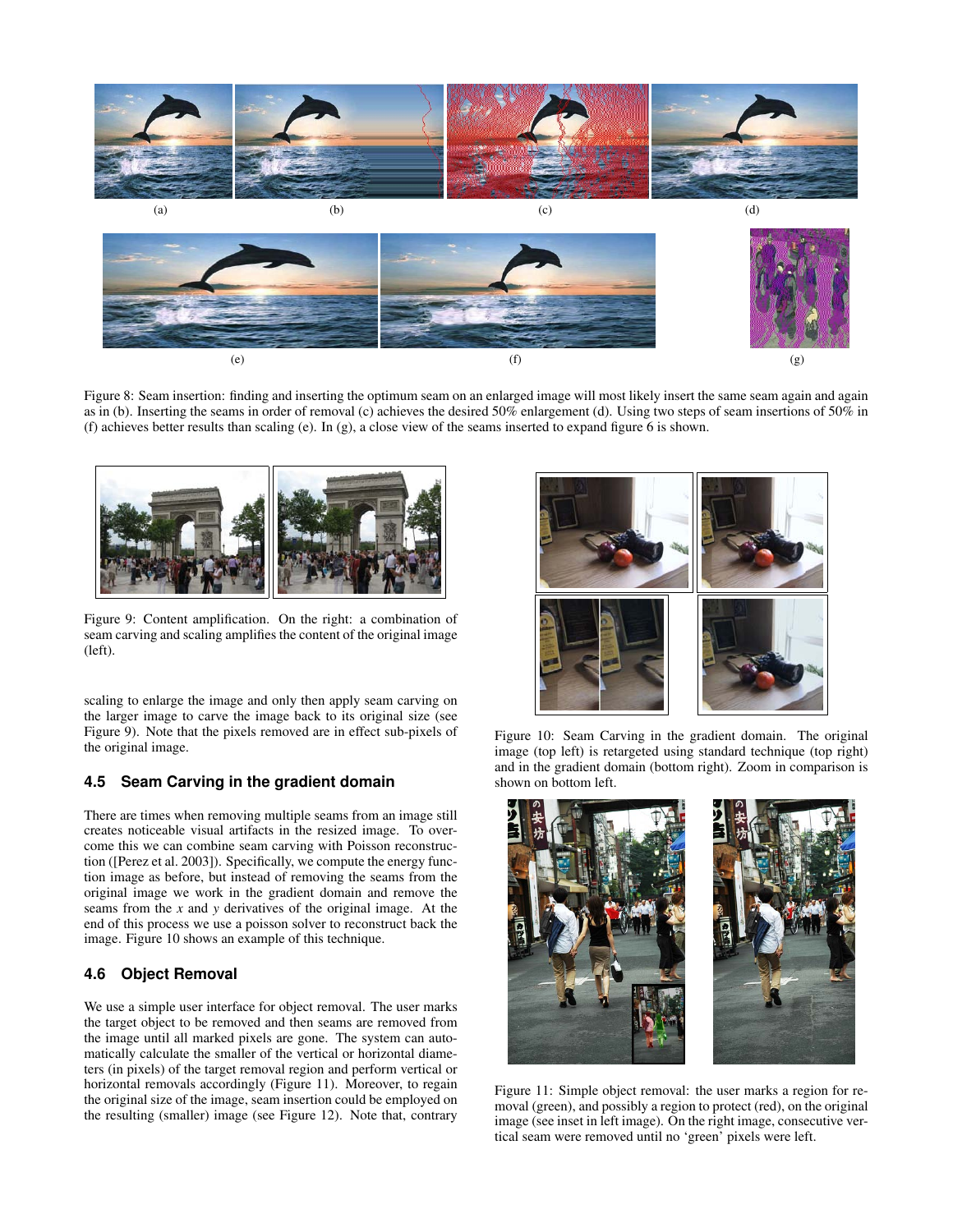

Figure 8: Seam insertion: finding and inserting the optimum seam on an enlarged image will most likely insert the same seam again and again as in (b). Inserting the seams in order of removal (c) achieves the desired 50% enlargement (d). Using two steps of seam insertions of 50% in (f) achieves better results than scaling (e). In (g), a close view of the seams inserted to expand figure 6 is shown.



Figure 9: Content amplification. On the right: a combination of seam carving and scaling amplifies the content of the original image (left).

scaling to enlarge the image and only then apply seam carving on the larger image to carve the image back to its original size (see Figure 9). Note that the pixels removed are in effect sub-pixels of the original image.

#### **4.5 Seam Carving in the gradient domain**

There are times when removing multiple seams from an image still creates noticeable visual artifacts in the resized image. To overcome this we can combine seam carving with Poisson reconstruction ([Perez et al. 2003]). Specifically, we compute the energy function image as before, but instead of removing the seams from the original image we work in the gradient domain and remove the seams from the *x* and *y* derivatives of the original image. At the end of this process we use a poisson solver to reconstruct back the image. Figure 10 shows an example of this technique.

### **4.6 Object Removal**

We use a simple user interface for object removal. The user marks the target object to be removed and then seams are removed from the image until all marked pixels are gone. The system can automatically calculate the smaller of the vertical or horizontal diameters (in pixels) of the target removal region and perform vertical or horizontal removals accordingly (Figure 11). Moreover, to regain the original size of the image, seam insertion could be employed on the resulting (smaller) image (see Figure 12). Note that, contrary



Figure 10: Seam Carving in the gradient domain. The original image (top left) is retargeted using standard technique (top right) and in the gradient domain (bottom right). Zoom in comparison is shown on bottom left.



Figure 11: Simple object removal: the user marks a region for removal (green), and possibly a region to protect (red), on the original image (see inset in left image). On the right image, consecutive vertical seam were removed until no 'green' pixels were left.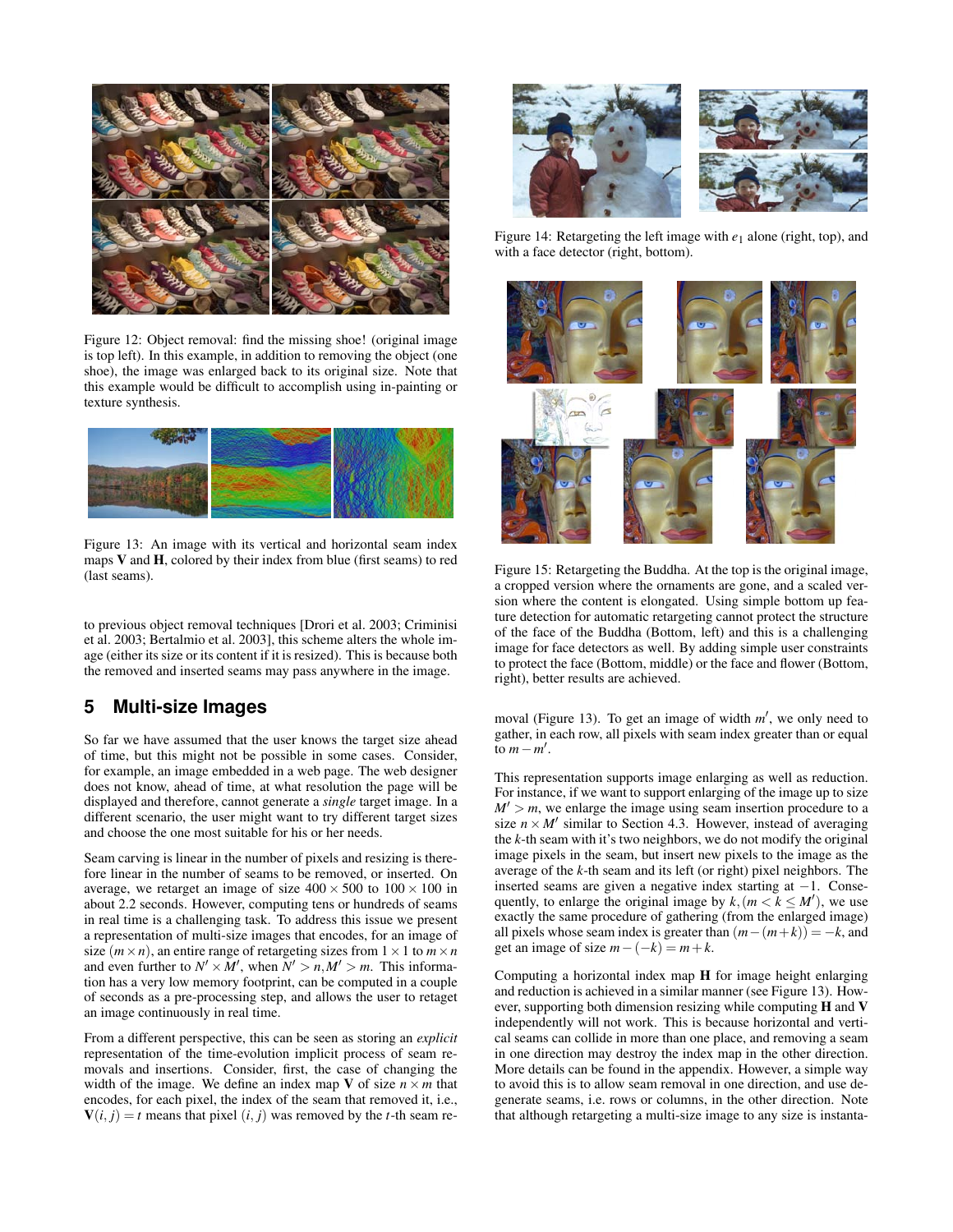

Figure 12: Object removal: find the missing shoe! (original image is top left). In this example, in addition to removing the object (one shoe), the image was enlarged back to its original size. Note that this example would be difficult to accomplish using in-painting or texture synthesis.



Figure 13: An image with its vertical and horizontal seam index maps  $V$  and  $H$ , colored by their index from blue (first seams) to red (last seams).

to previous object removal techniques [Drori et al. 2003; Criminisi et al. 2003; Bertalmio et al. 2003], this scheme alters the whole image (either its size or its content if it is resized). This is because both the removed and inserted seams may pass anywhere in the image.

### **5 Multi-size Images**

So far we have assumed that the user knows the target size ahead of time, but this might not be possible in some cases. Consider, for example, an image embedded in a web page. The web designer does not know, ahead of time, at what resolution the page will be displayed and therefore, cannot generate a *single* target image. In a different scenario, the user might want to try different target sizes and choose the one most suitable for his or her needs.

Seam carving is linear in the number of pixels and resizing is therefore linear in the number of seams to be removed, or inserted. On average, we retarget an image of size  $400 \times 500$  to  $100 \times 100$  in about 2.2 seconds. However, computing tens or hundreds of seams in real time is a challenging task. To address this issue we present a representation of multi-size images that encodes, for an image of size  $(m \times n)$ , an entire range of retargeting sizes from  $1 \times 1$  to  $m \times n$ and even further to  $N' \times M'$ , when  $N' > n$ ,  $M' > m$ . This information has a very low memory footprint, can be computed in a couple of seconds as a pre-processing step, and allows the user to retaget an image continuously in real time.

From a different perspective, this can be seen as storing an *explicit* representation of the time-evolution implicit process of seam removals and insertions. Consider, first, the case of changing the width of the image. We define an index map **V** of size  $n \times m$  that encodes, for each pixel, the index of the seam that removed it, i.e.,  $V(i, j) = t$  means that pixel  $(i, j)$  was removed by the *t*-th seam re-



Figure 14: Retargeting the left image with  $e_1$  alone (right, top), and with a face detector (right, bottom).



Figure 15: Retargeting the Buddha. At the top is the original image, a cropped version where the ornaments are gone, and a scaled version where the content is elongated. Using simple bottom up feature detection for automatic retargeting cannot protect the structure of the face of the Buddha (Bottom, left) and this is a challenging image for face detectors as well. By adding simple user constraints to protect the face (Bottom, middle) or the face and flower (Bottom, right), better results are achieved.

moval (Figure 13). To get an image of width  $m'$ , we only need to gather, in each row, all pixels with seam index greater than or equal  $\frac{1}{\tan(-m)}.$ 

This representation supports image enlarging as well as reduction. For instance, if we want to support enlarging of the image up to size  $M' > m$ , we enlarge the image using seam insertion procedure to a size  $n \times M'$  similar to Section 4.3. However, instead of averaging the *k*-th seam with it's two neighbors, we do not modify the original image pixels in the seam, but insert new pixels to the image as the average of the *k*-th seam and its left (or right) pixel neighbors. The inserted seams are given a negative index starting at  $-1$ . Consequently, to enlarge the original image by  $k, (m < k \leq M')$ , we use exactly the same procedure of gathering (from the enlarged image) all pixels whose seam index is greater than  $(m-(m+k)) = -k$ , and get an image of size  $m - (-k) = m + k$ .

Computing a horizontal index map H for image height enlarging and reduction is achieved in a similar manner (see Figure 13). However, supporting both dimension resizing while computing H and V independently will not work. This is because horizontal and vertical seams can collide in more than one place, and removing a seam in one direction may destroy the index map in the other direction. More details can be found in the appendix. However, a simple way to avoid this is to allow seam removal in one direction, and use degenerate seams, i.e. rows or columns, in the other direction. Note that although retargeting a multi-size image to any size is instanta-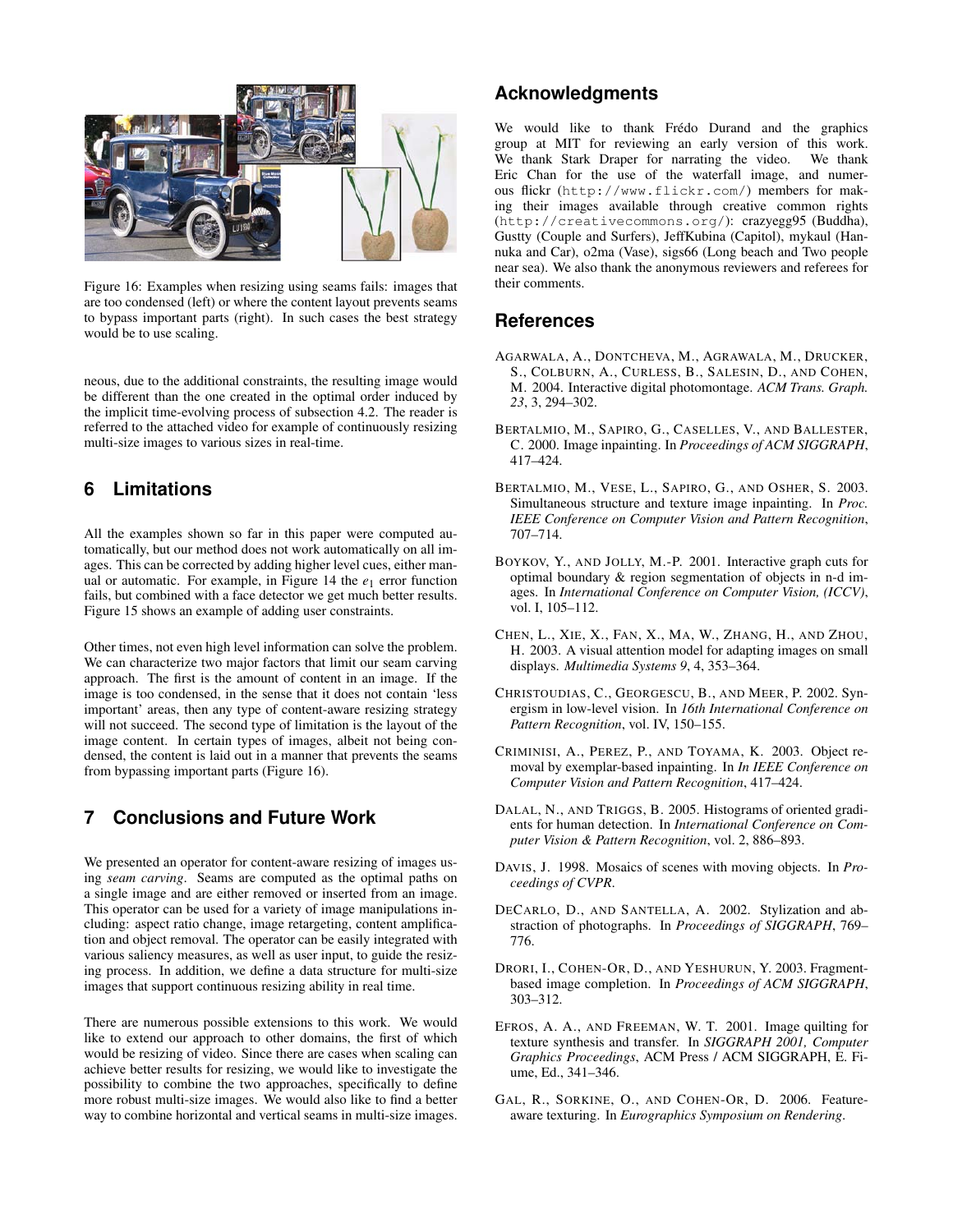

Figure 16: Examples when resizing using seams fails: images that are too condensed (left) or where the content layout prevents seams to bypass important parts (right). In such cases the best strategy would be to use scaling.

neous, due to the additional constraints, the resulting image would be different than the one created in the optimal order induced by the implicit time-evolving process of subsection 4.2. The reader is referred to the attached video for example of continuously resizing multi-size images to various sizes in real-time.

## **6 Limitations**

All the examples shown so far in this paper were computed automatically, but our method does not work automatically on all images. This can be corrected by adding higher level cues, either manual or automatic. For example, in Figure 14 the  $e_1$  error function fails, but combined with a face detector we get much better results. Figure 15 shows an example of adding user constraints.

Other times, not even high level information can solve the problem. We can characterize two major factors that limit our seam carving approach. The first is the amount of content in an image. If the image is too condensed, in the sense that it does not contain 'less important' areas, then any type of content-aware resizing strategy will not succeed. The second type of limitation is the layout of the image content. In certain types of images, albeit not being condensed, the content is laid out in a manner that prevents the seams from bypassing important parts (Figure 16).

## **7 Conclusions and Future Work**

We presented an operator for content-aware resizing of images using *seam carving*. Seams are computed as the optimal paths on a single image and are either removed or inserted from an image. This operator can be used for a variety of image manipulations including: aspect ratio change, image retargeting, content amplification and object removal. The operator can be easily integrated with various saliency measures, as well as user input, to guide the resizing process. In addition, we define a data structure for multi-size images that support continuous resizing ability in real time.

There are numerous possible extensions to this work. We would like to extend our approach to other domains, the first of which would be resizing of video. Since there are cases when scaling can achieve better results for resizing, we would like to investigate the possibility to combine the two approaches, specifically to define more robust multi-size images. We would also like to find a better way to combine horizontal and vertical seams in multi-size images.

## **Acknowledgments**

We would like to thank Frédo Durand and the graphics group at MIT for reviewing an early version of this work. We thank Stark Draper for narrating the video. We thank Eric Chan for the use of the waterfall image, and numerous flickr (http://www.flickr.com/) members for making their images available through creative common rights (http://creativecommons.org/): crazyegg95 (Buddha), Gustty (Couple and Surfers), JeffKubina (Capitol), mykaul (Hannuka and Car), o2ma (Vase), sigs66 (Long beach and Two people near sea). We also thank the anonymous reviewers and referees for their comments.

## **References**

- AGARWALA, A., DONTCHEVA, M., AGRAWALA, M., DRUCKER, S., COLBURN, A., CURLESS, B., SALESIN, D., AND COHEN, M. 2004. Interactive digital photomontage. *ACM Trans. Graph. 23*, 3, 294–302.
- BERTALMIO, M., SAPIRO, G., CASELLES, V., AND BALLESTER, C. 2000. Image inpainting. In *Proceedings of ACM SIGGRAPH*, 417–424.
- BERTALMIO, M., VESE, L., SAPIRO, G., AND OSHER, S. 2003. Simultaneous structure and texture image inpainting. In *Proc. IEEE Conference on Computer Vision and Pattern Recognition*, 707–714.
- BOYKOV, Y., AND JOLLY, M.-P. 2001. Interactive graph cuts for optimal boundary & region segmentation of objects in n-d images. In *International Conference on Computer Vision, (ICCV)*, vol. I, 105–112.
- CHEN, L., XIE, X., FAN, X., MA, W., ZHANG, H., AND ZHOU, H. 2003. A visual attention model for adapting images on small displays. *Multimedia Systems 9*, 4, 353–364.
- CHRISTOUDIAS, C., GEORGESCU, B., AND MEER, P. 2002. Synergism in low-level vision. In *16th International Conference on Pattern Recognition*, vol. IV, 150–155.
- CRIMINISI, A., PEREZ, P., AND TOYAMA, K. 2003. Object removal by exemplar-based inpainting. In *In IEEE Conference on Computer Vision and Pattern Recognition*, 417–424.
- DALAL, N., AND TRIGGS, B. 2005. Histograms of oriented gradients for human detection. In *International Conference on Computer Vision & Pattern Recognition*, vol. 2, 886–893.
- DAVIS, J. 1998. Mosaics of scenes with moving objects. In *Proceedings of CVPR*.
- DECARLO, D., AND SANTELLA, A. 2002. Stylization and abstraction of photographs. In *Proceedings of SIGGRAPH*, 769– 776.
- DRORI, I., COHEN-OR, D., AND YESHURUN, Y. 2003. Fragmentbased image completion. In *Proceedings of ACM SIGGRAPH*, 303–312.
- EFROS, A. A., AND FREEMAN, W. T. 2001. Image quilting for texture synthesis and transfer. In *SIGGRAPH 2001, Computer Graphics Proceedings*, ACM Press / ACM SIGGRAPH, E. Fiume, Ed., 341–346.
- GAL, R., SORKINE, O., AND COHEN-OR, D. 2006. Featureaware texturing. In *Eurographics Symposium on Rendering*.